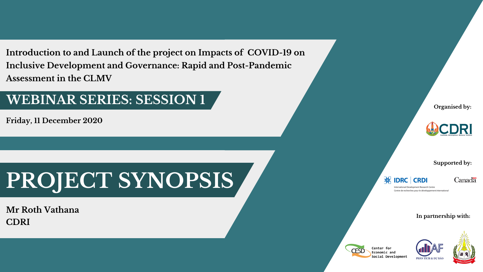



### **Supported by:**

### **IDRC**

Canadä

International Development Research Centre Centre de recherches pour le développement international

**CRDI** 

### **In partnership with:**

Center for Economic and Social Development





**Introduction to and Launch of the project on Impacts of COVID-19 on Inclusive Development and Governance: Rapid and Post-Pandemic Assessment in the CLMV**

**Friday, 11 December 2020**

# **PROJECT SYNOPSIS**

**Mr Roth Vathana CDRI**

## **WEBINAR SERIES: SESSION 1**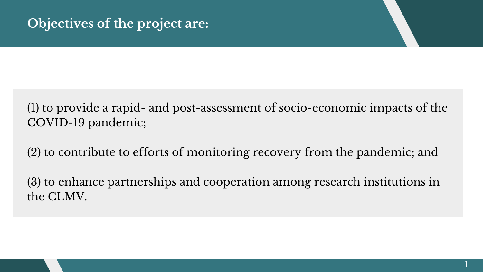## (1) to provide a rapid- and post-assessment of socio-economic impacts of the COVID-19 pandemic;

(2) to contribute to efforts of monitoring recovery from the pandemic; and

(3) to enhance partnerships and cooperation among research institutions in the CLMV.

## **Objectives of the project are:**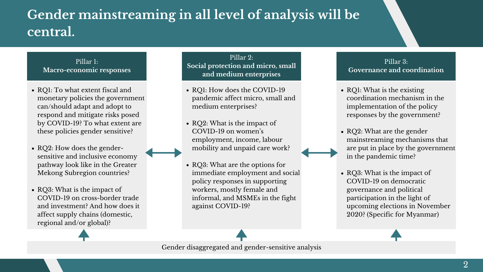- RQ1: To what extent fiscal and monetary policies the government can/should adapt and adopt to respond and mitigate risks posed by COVID-19? To what extent are these policies gender sensitive?
- RQ2: How does the gendersensitive and inclusive economy pathway look like in the Greater Mekong Subregion countries?
- RQ3: What is the impact of COVID-19 on cross-border trade and investment? And how does it affect supply chains (domestic, regional and/or global)?
- RQ1: How does the COVID-19 pandemic affect micro, small and medium enterprises?
- RQ2: What is the impact of COVID-19 on women ' s employment, income, labour mobility and unpaid care work?
- RQ3: What are the options for immediate employment and social policy responses in supporting workers, mostly female and informal, and MSMEs in the fight against COVID-19?



### Pillar 1: **Macro-economic responses**

### Pillar 2: **Social protection and micro, small and medium enterprises**



## **Gender mainstreaming in all level of analysis will be central.**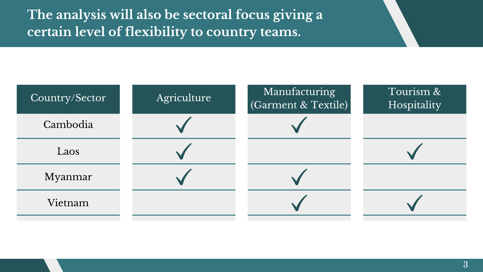



**The analysis will also be sectoral focus giving a certain level of flexibility to country teams.**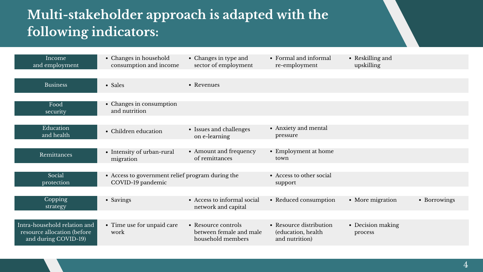| Income<br>and employment                                                             | • Changes in household<br>consumption and income                      | • Changes in type and<br>sector of employment                       | • Formal and informal<br>re-employment                           | • Reskilling and<br>upskilling |              |
|--------------------------------------------------------------------------------------|-----------------------------------------------------------------------|---------------------------------------------------------------------|------------------------------------------------------------------|--------------------------------|--------------|
| <b>Business</b>                                                                      | • Sales                                                               | • Revenues                                                          |                                                                  |                                |              |
| Food<br>security                                                                     | • Changes in consumption<br>and nutrition                             |                                                                     |                                                                  |                                |              |
| Education<br>and health                                                              | • Children education                                                  | • Issues and challenges<br>on e-learning                            | • Anxiety and mental<br>pressure                                 |                                |              |
| Remittances                                                                          | • Intensity of urban-rural<br>migration                               | • Amount and frequency<br>of remittances                            | • Employment at home<br>town                                     |                                |              |
| Social<br>protection                                                                 | • Access to government relief program during the<br>COVID-19 pandemic |                                                                     | • Access to other social<br>support                              |                                |              |
| Copping<br>strategy                                                                  | · Savings                                                             | • Access to informal social<br>network and capital                  | • Reduced consumption                                            | • More migration               | · Borrowings |
| Intra-household relation and<br>resource allocation (before)<br>and during COVID-19) | • Time use for unpaid care<br>work                                    | • Resource controls<br>between female and male<br>household members | • Resource distribution<br>(education, health)<br>and nutrition) | • Decision making<br>process   |              |

## **Multi-stakeholder approach is adapted with the following indicators:**